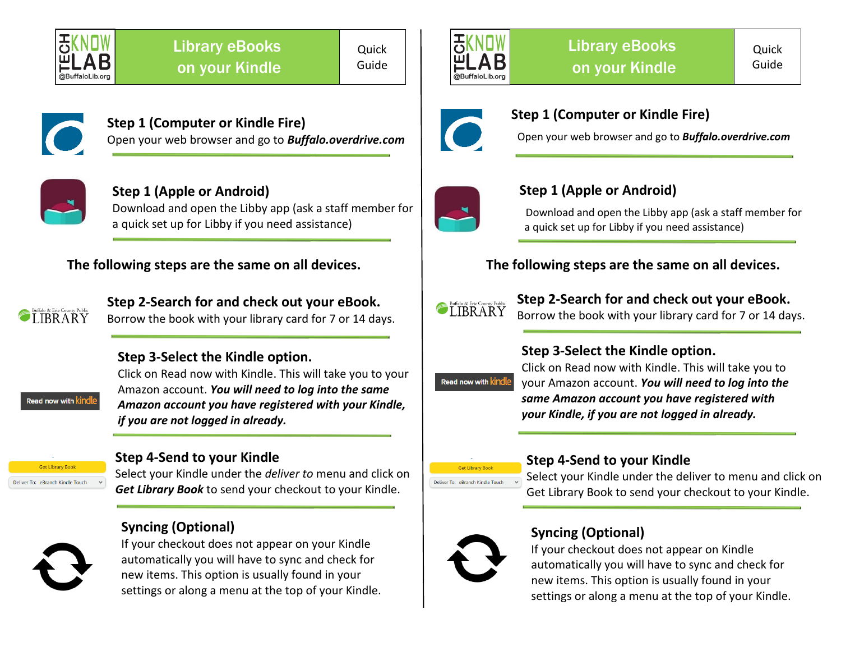

**Quick** Guide





#### **Step 1 (Computer or Kindle Fire)** Open your web browser and go to *Buffalo.overdrive.com*



#### **Step 1 (Apple or Android)** Download and open the Libby app (ask a staff member for

a quick set up for Libby if you need assistance)

### **The following steps are the same on all devices.**



**Step 2-Search for and check out your eBook.** Borrow the book with your library card for 7 or 14 days.

#### **Step 3-Select the Kindle option.**

ad now with  $\operatorname{\sf kin}$ 

Click on Read now with Kindle. This will take you to your Amazon account. *You will need to log into the same Amazon account you have registered with your Kindle, if you are not logged in already.*

#### **Get Library Book** Deliver To: eBranch Kindle Touch

#### **Step 4-Send to your Kindle**

Select your Kindle under the *deliver to* menu and click on *Get Library Book* to send your checkout to your Kindle.

# **Syncing (Optional)**



If your checkout does not appear on your Kindle automatically you will have to sync and check for new items. This option is usually found in your settings or along a menu at the top of your Kindle.



#### **Step 1 (Computer or Kindle Fire)**

Open your web browser and go to *Buffalo.overdrive.com*



# **Step 1 (Apple or Android)**

Download and open the Libby app (ask a staff member for a quick set up for Libby if you need assistance)

# **The following steps are the same on all devices.**



**Step 2-Search for and check out your eBook.** Borrow the book with your library card for 7 or 14 days.

#### **Step 3-Select the Kindle option.**



Click on Read now with Kindle. This will take you to your Amazon account. *You will need to log into the same Amazon account you have registered with your Kindle, if you are not logged in already.*



#### **Step 4-Send to your Kindle**

Select your Kindle under the deliver to menu and click on Get Library Book to send your checkout to your Kindle.



# **Syncing (Optional)**

If your checkout does not appear on Kindle automatically you will have to sync and check for new items. This option is usually found in your settings or along a menu at the top of your Kindle.